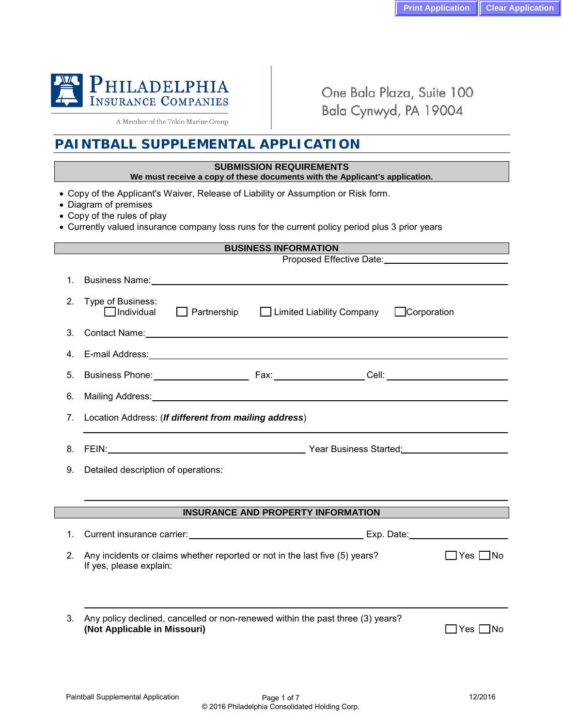

A Member of the Tokio Marine Group

One Bala Plaza, Suite 100 Bala Cynwyd, PA 19004

# **PAINTBALL SUPPLEMENTAL APPLICATION**

### **SUBMISSION REQUIREMENTS**

#### **We must receive a copy of these documents with the Applicant's application.**

- Copy of the Applicant's Waiver, Release of Liability or Assumption or Risk form.
- Diagram of premises
- Copy of the rules of play
- Currently valued insurance company loss runs for the current policy period plus 3 prior years

|    | <b>BUSINESS INFORMATION</b>                                                                                                |  |  |  |  |  |  |
|----|----------------------------------------------------------------------------------------------------------------------------|--|--|--|--|--|--|
|    |                                                                                                                            |  |  |  |  |  |  |
| 1. |                                                                                                                            |  |  |  |  |  |  |
| 2. | Type of Business:<br>$\Box$ Individual<br>$\Box$ Partnership $\Box$ Limited Liability Company<br><b>Corporation</b>        |  |  |  |  |  |  |
| 3. |                                                                                                                            |  |  |  |  |  |  |
| 4. |                                                                                                                            |  |  |  |  |  |  |
| 5. |                                                                                                                            |  |  |  |  |  |  |
| 6. |                                                                                                                            |  |  |  |  |  |  |
| 7. | Location Address: (If different from mailing address)                                                                      |  |  |  |  |  |  |
| 8. |                                                                                                                            |  |  |  |  |  |  |
| 9. | Detailed description of operations:                                                                                        |  |  |  |  |  |  |
|    |                                                                                                                            |  |  |  |  |  |  |
|    | <b>INSURANCE AND PROPERTY INFORMATION</b>                                                                                  |  |  |  |  |  |  |
| 1. |                                                                                                                            |  |  |  |  |  |  |
| 2. | Any incidents or claims whether reported or not in the last five (5) years?<br>l lYesl INo<br>If yes, please explain:      |  |  |  |  |  |  |
|    |                                                                                                                            |  |  |  |  |  |  |
| 3. | Any policy declined, cancelled or non-renewed within the past three (3) years?<br>(Not Applicable in Missouri)<br>∣Yes ∐No |  |  |  |  |  |  |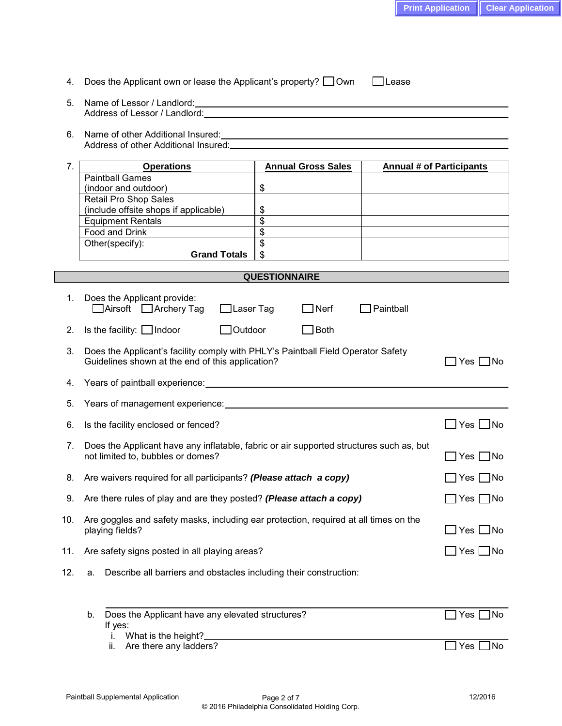| 5.  | Address of Lessor / Landlord: The contract of the contract of the contract of the contract of the contract of the contract of the contract of the contract of the contract of the contract of the contract of the contract of  |                                                                         |                                                                                                                    |                            |
|-----|--------------------------------------------------------------------------------------------------------------------------------------------------------------------------------------------------------------------------------|-------------------------------------------------------------------------|--------------------------------------------------------------------------------------------------------------------|----------------------------|
| 6.  | Address of other Additional Insured: Note that the state of the state of the state of the state of the state of the state of the state of the state of the state of the state of the state of the state of the state of the st |                                                                         |                                                                                                                    |                            |
| 7.  | <b>Operations</b><br><b>Paintball Games</b><br>(indoor and outdoor)<br>Retail Pro Shop Sales<br>(include offsite shops if applicable)<br><b>Equipment Rentals</b>                                                              | <b>Annual Gross Sales</b><br>\$<br>\$<br>$\overline{\mathcal{S}}$       | <b>Annual # of Participants</b><br>the contract of the contract of the contract of the contract of the contract of |                            |
|     | Food and Drink<br>Other(specify):<br><b>Grand Totals</b>                                                                                                                                                                       | $\overline{\mathcal{S}}$<br>$\overline{\$}$<br>$\overline{\mathcal{S}}$ |                                                                                                                    |                            |
|     |                                                                                                                                                                                                                                | <b>QUESTIONNAIRE</b>                                                    |                                                                                                                    |                            |
| 1.  | Does the Applicant provide:<br>$\Box$ Airsoft $\Box$ Archery Tag<br>□Laser Tag                                                                                                                                                 | $\Box$ Nerf                                                             | Paintball                                                                                                          |                            |
| 2.  | Is the facility: $\Box$ Indoor<br>$\Box$ Outdoor                                                                                                                                                                               | <b>Both</b><br>$\mathcal{L} \subset \mathcal{L}$                        |                                                                                                                    |                            |
| 3.  | Does the Applicant's facility comply with PHLY's Paintball Field Operator Safety<br>Guidelines shown at the end of this application?                                                                                           |                                                                         |                                                                                                                    | $\Box$ Yes $\Box$ No       |
| 4.  |                                                                                                                                                                                                                                |                                                                         |                                                                                                                    |                            |
| 5.  |                                                                                                                                                                                                                                |                                                                         |                                                                                                                    |                            |
| 6.  | Is the facility enclosed or fenced?                                                                                                                                                                                            |                                                                         |                                                                                                                    | $\square$ Yes $\square$ No |
| 7.  | Does the Applicant have any inflatable, fabric or air supported structures such as, but<br>not limited to, bubbles or domes?                                                                                                   |                                                                         | $\Box$ Yes $\Box$ No                                                                                               |                            |
| 8.  | Are waivers required for all participants? (Please attach a copy)                                                                                                                                                              |                                                                         |                                                                                                                    | $\Box$ Yes $\Box$ No       |
| 9.  | Are there rules of play and are they posted? (Please attach a copy)                                                                                                                                                            |                                                                         |                                                                                                                    | $\Box$ Yes $\Box$ No       |
| 10. | Are goggles and safety masks, including ear protection, required at all times on the<br>playing fields?                                                                                                                        |                                                                         |                                                                                                                    | $\Box$ Yes $\Box$ No       |
| 11. | Are safety signs posted in all playing areas?                                                                                                                                                                                  |                                                                         |                                                                                                                    | $\Box$ Yes $\Box$ No       |
| 12. | Describe all barriers and obstacles including their construction:<br>a.                                                                                                                                                        |                                                                         |                                                                                                                    |                            |
|     | Does the Applicant have any elevated structures?<br>b.<br>If yes:<br>What is the height?_<br>ı.                                                                                                                                |                                                                         |                                                                                                                    | ]No<br>Yes                 |
|     | Are there any ladders?<br>II.                                                                                                                                                                                                  |                                                                         |                                                                                                                    | Yes<br>]No                 |

4. Does the Applicant own or lease the Applicant's property?  $\Box$  Own  $\Box$  Lease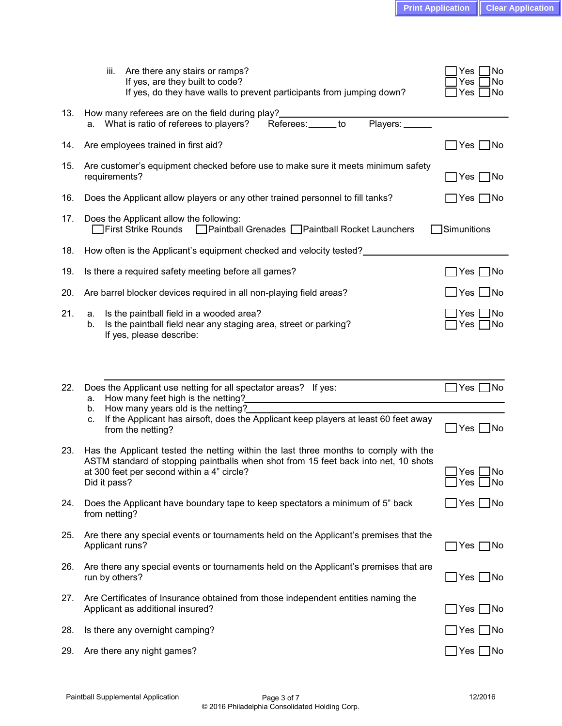|     | Are there any stairs or ramps?<br>iii.<br>If yes, are they built to code?<br>If yes, do they have walls to prevent participants from jumping down?                                                                                        | $\sqrt{\phantom{a}}$ No<br>Yes<br>No<br>Yes<br>Yes<br>$\Box$ No |
|-----|-------------------------------------------------------------------------------------------------------------------------------------------------------------------------------------------------------------------------------------------|-----------------------------------------------------------------|
| 13. | How many referees are on the field during play?<br>Players:<br>Referees:______ to<br>a. What is ratio of referees to players?                                                                                                             |                                                                 |
| 14. | Are employees trained in first aid?                                                                                                                                                                                                       | ] Yes □No                                                       |
| 15. | Are customer's equipment checked before use to make sure it meets minimum safety<br>requirements?                                                                                                                                         | Yes $\Box$ No                                                   |
| 16. | Does the Applicant allow players or any other trained personnel to fill tanks?                                                                                                                                                            |                                                                 |
| 17. | Does the Applicant allow the following:<br>First Strike Rounds □ Paintball Grenades □ Paintball Rocket Launchers                                                                                                                          | Simunitions                                                     |
| 18. | How often is the Applicant's equipment checked and velocity tested?                                                                                                                                                                       |                                                                 |
| 19. | Is there a required safety meeting before all games?                                                                                                                                                                                      | Yes  <br>_ No                                                   |
| 20. | Are barrel blocker devices required in all non-playing field areas?                                                                                                                                                                       | $\Box$ Yes $\Box$ No                                            |
| 21. | Is the paintball field in a wooded area?<br>а.<br>Is the paintball field near any staging area, street or parking?<br>b.<br>If yes, please describe:                                                                                      | $\Box$ No<br>]Yes [<br>]Yes ∏No                                 |
| 22. | Does the Applicant use netting for all spectator areas? If yes:<br>How many feet high is the netting?<br>а.                                                                                                                               | $\Box$ Yes $\Box$ No                                            |
|     | How many years old is the netting?<br>b.<br>If the Applicant has airsoft, does the Applicant keep players at least 60 feet away<br>c.<br>from the netting?                                                                                | $\Box$ Yes $\Box$ No                                            |
| 23. | Has the Applicant tested the netting within the last three months to comply with the<br>ASTM standard of stopping paintballs when shot from 15 feet back into net, 10 shots<br>at 300 feet per second within a 4" circle?<br>Did it pass? | Yes <sub>l</sub><br><b>I</b> No<br>$\Box$ Yes $\Box$ No         |
| 24. | Does the Applicant have boundary tape to keep spectators a minimum of 5" back<br>from netting?                                                                                                                                            | $\Box$ Yes $\Box$ No                                            |
| 25. | Are there any special events or tournaments held on the Applicant's premises that the<br>Applicant runs?                                                                                                                                  | $\Box$ Yes $\Box$ No                                            |
| 26. | Are there any special events or tournaments held on the Applicant's premises that are<br>run by others?                                                                                                                                   | $\Box$ Yes $\Box$ No                                            |
| 27. | Are Certificates of Insurance obtained from those independent entities naming the<br>Applicant as additional insured?                                                                                                                     | $\Box$ Yes $\Box$ No                                            |
| 28. | Is there any overnight camping?                                                                                                                                                                                                           | $\Box$ Yes $\Box$ No                                            |
| 29. | Are there any night games?                                                                                                                                                                                                                | $\Box$ Yes $\Box$ No                                            |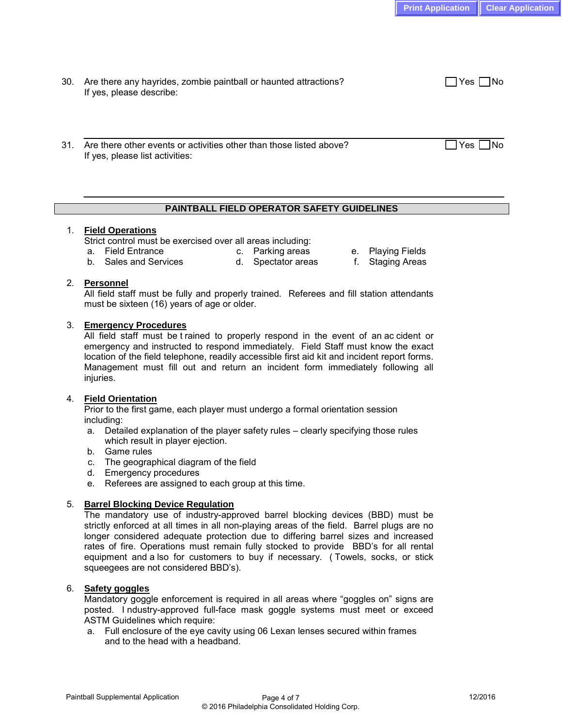| 30. Are there any hayrides, zombie paintball or haunted attractions? | $\Box$ Yes $\Box$ No |
|----------------------------------------------------------------------|----------------------|
| If yes, please describe:                                             |                      |

31. Are there other events or activities other than those listed above?  $\Box$  Yes  $\Box$  Yes  $\Box$  No If yes, please list activities:

## **PAINTBALL FIELD OPERATOR SAFETY GUIDELINES**

### 1. **Field Operations**

Strict control must be exercised over all areas including:<br>a. Field Entrance because c. Parking areas

- 
- a. Field Entrance **c. Parking areas** e. Playing Fields<br>b. Sales and Services b. Spectator areas f. Staging Areas d. Spectator areas f. Staging Areas
	-

## 2. **Personnel**

All field staff must be fully and properly trained. Referees and fill station attendants must be sixteen (16) years of age or older.

### 3. **Emergency Procedures**

All field staff must be t rained to properly respond in the event of an ac cident or emergency and instructed to respond immediately. Field Staff must know the exact location of the field telephone, readily accessible first aid kit and incident report forms. Management must fill out and return an incident form immediately following all injuries.

## 4. **Field Orientation**

Prior to the first game, each player must undergo a formal orientation session including:

- a. Detailed explanation of the player safety rules clearly specifying those rules which result in player ejection.
- b. Game rules
- c. The geographical diagram of the field
- d. Emergency procedures
- e. Referees are assigned to each group at this time.

## 5. **Barrel Blocking Device Regulation**

The mandatory use of industry-approved barrel blocking devices (BBD) must be strictly enforced at all times in all non-playing areas of the field. Barrel plugs are no longer considered adequate protection due to differing barrel sizes and increased rates of fire. Operations must remain fully stocked to provide BBD's for all rental equipment and a lso for customers to buy if necessary. ( Towels, socks, or stick squeegees are not considered BBD's).

## 6. **Safety goggles**

Mandatory goggle enforcement is required in all areas where "goggles on" signs are posted. I ndustry-approved full-face mask goggle systems must meet or exceed ASTM Guidelines which require:

a. Full enclosure of the eye cavity using 06 Lexan lenses secured within frames and to the head with a headband.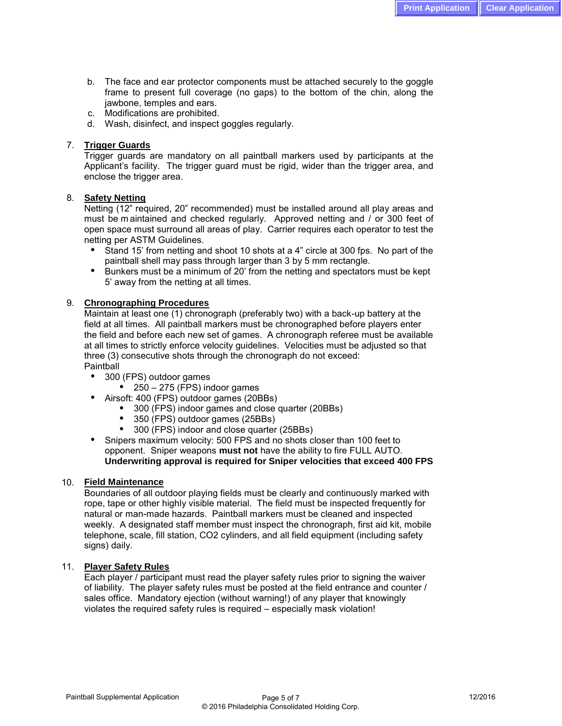- b. The face and ear protector components must be attached securely to the goggle frame to present full coverage (no gaps) to the bottom of the chin, along the jawbone, temples and ears.
- c. Modifications are prohibited.
- d. Wash, disinfect, and inspect goggles regularly.

### 7. **Trigger Guards**

Trigger guards are mandatory on all paintball markers used by participants at the Applicant's facility. The trigger guard must be rigid, wider than the trigger area, and enclose the trigger area.

### 8. **Safety Netting**

Netting (12" required, 20" recommended) must be installed around all play areas and must be m aintained and checked regularly. Approved netting and / or 300 feet of open space must surround all areas of play. Carrier requires each operator to test the netting per ASTM Guidelines.

- **●** Stand 15' from netting and shoot 10 shots at a 4" circle at 300 fps. No part of the paintball shell may pass through larger than 3 by 5 mm rectangle.
- Bunkers must be a minimum of 20' from the netting and spectators must be kept 5' away from the netting at all times.

### 9. **Chronographing Procedures**

Maintain at least one (1) chronograph (preferably two) with a back-up battery at the field at all times. All paintball markers must be chronographed before players enter the field and before each new set of games. A chronograph referee must be available at all times to strictly enforce velocity guidelines. Velocities must be adjusted so that three (3) consecutive shots through the chronograph do not exceed: Paintball

- 300 (FPS) outdoor games
	- $\bullet$  250 275 (FPS) indoor games
- Airsoft: 400 (FPS) outdoor games (20BBs)
	- 300 (FPS) indoor games and close quarter (20BBs)
	- 350 (FPS) outdoor games (25BBs)
	- 300 (FPS) indoor and close quarter (25BBs)

Snipers maximum velocity: 500 FPS and no shots closer than 100 feet to opponent. Sniper weapons **must not** have the ability to fire FULL AUTO. **Underwriting approval is required for Sniper velocities that exceed 400 FPS**

#### 10. **Field Maintenance**

Boundaries of all outdoor playing fields must be clearly and continuously marked with rope, tape or other highly visible material. The field must be inspected frequently for natural or man-made hazards. Paintball markers must be cleaned and inspected weekly. A designated staff member must inspect the chronograph, first aid kit, mobile telephone, scale, fill station, CO2 cylinders, and all field equipment (including safety signs) daily.

#### 11. **Player Safety Rules**

Each player / participant must read the player safety rules prior to signing the waiver of liability. The player safety rules must be posted at the field entrance and counter / sales office. Mandatory ejection (without warning!) of any player that knowingly violates the required safety rules is required – especially mask violation!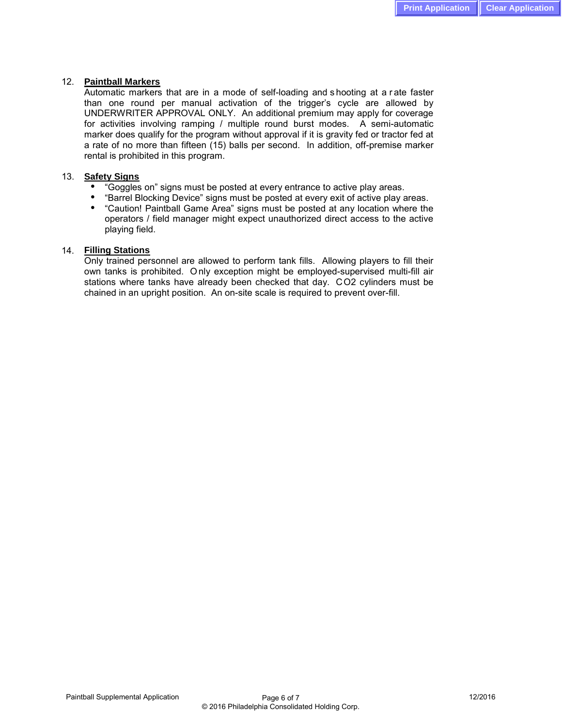#### 12. **Paintball Markers**

Automatic markers that are in a mode of self-loading and s hooting at a r ate faster than one round per manual activation of the trigger's cycle are allowed by UNDERWRITER APPROVAL ONLY. An additional premium may apply for coverage for activities involving ramping / multiple round burst modes. A semi-automatic marker does qualify for the program without approval if it is gravity fed or tractor fed at a rate of no more than fifteen (15) balls per second. In addition, off-premise marker rental is prohibited in this program.

#### 13. **Safety Signs**

- "Goggles on" signs must be posted at every entrance to active play areas.
- "Barrel Blocking Device" signs must be posted at every exit of active play areas.
- "Caution! Paintball Game Area" signs must be posted at any location where the operators / field manager might expect unauthorized direct access to the active playing field.

#### 14. **Filling Stations**

Only trained personnel are allowed to perform tank fills. Allowing players to fill their own tanks is prohibited. O nly exception might be employed-supervised multi-fill air stations where tanks have already been checked that day. CO2 cylinders must be chained in an upright position. An on-site scale is required to prevent over-fill.